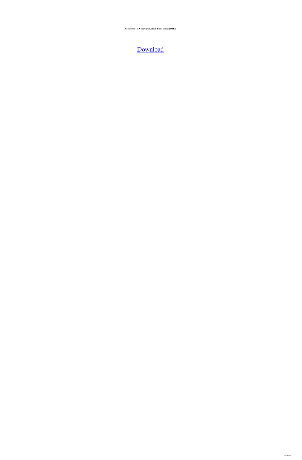**Neospeech Tts Voiceware Korean Yumi Voice ((TOP))**

## [Download](http://evacdir.com/aggies/blackberrys.TmVvc3BlZWNoIFR0cyBWb2ljZXdhcmUgS29yZWFuIFl1bWkgVm9pY2UTmV?ZG93bmxvYWR8bks4TWpSeGFueDhNVFkxTlRnME1qazRNWHg4TWpVM05IeDhLRTBwSUhKbFlXUXRZbXh2WnlCYlJtRnpkQ0JIUlU1ZA=cachee.elita..partnering.preyed)